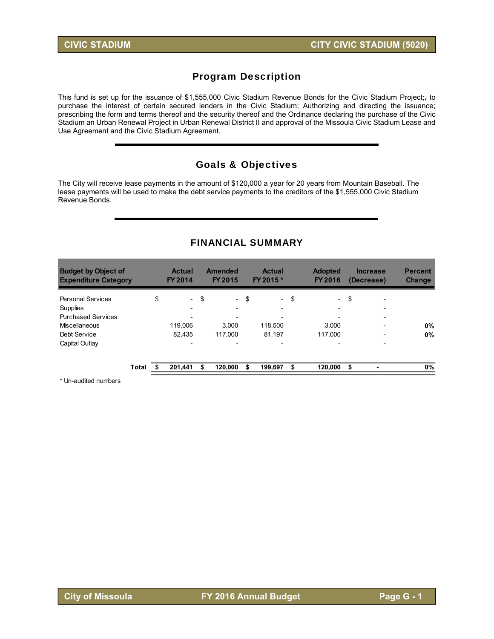## Program Description

This fund is set up for the issuance of \$1,555,000 Civic Stadium Revenue Bonds for the Civic Stadium Project;<sub>7</sub> to purchase the interest of certain secured lenders in the Civic Stadium; Authorizing and directing the issuance; prescribing the form and terms thereof and the security thereof and the Ordinance declaring the purchase of the Civic Stadium an Urban Renewal Project in Urban Renewal District II and approval of the Missoula Civic Stadium Lease and Use Agreement and the Civic Stadium Agreement.

### Goals & Objectives

The City will receive lease payments in the amount of \$120,000 a year for 20 years from Mountain Baseball. The lease payments will be used to make the debt service payments to the creditors of the \$1,555,000 Civic Stadium Revenue Bonds.

#### FINANCIAL SUMMARY

| <b>Budget by Object of</b><br><b>Expenditure Category</b> |       |    | <b>Actual</b><br>FY 2014 |    | <b>Amended</b><br>FY 2015 |    | <b>Actual</b><br>FY 2015 * | <b>Adopted</b><br>FY 2016      | <b>Increase</b><br>(Decrease)  | <b>Percent</b><br><b>Change</b> |
|-----------------------------------------------------------|-------|----|--------------------------|----|---------------------------|----|----------------------------|--------------------------------|--------------------------------|---------------------------------|
| <b>Personal Services</b>                                  |       | \$ | $\sim$                   | \$ | $\overline{\phantom{0}}$  | \$ | $\sim$                     | \$<br>$\overline{\phantom{a}}$ | \$<br>$\overline{\phantom{a}}$ |                                 |
| Supplies                                                  |       |    | $\overline{\phantom{a}}$ |    |                           |    | $\overline{\phantom{0}}$   | $\overline{\phantom{0}}$       | $\overline{\phantom{0}}$       |                                 |
| <b>Purchased Services</b>                                 |       |    |                          |    |                           |    |                            |                                | $\overline{\phantom{a}}$       |                                 |
| Miscellaneous                                             |       |    | 119,006                  |    | 3.000                     |    | 118.500                    | 3.000                          | $\overline{\phantom{0}}$       | 0%                              |
| Debt Service                                              |       |    | 82.435                   |    | 117.000                   |    | 81.197                     | 117.000                        | $\overline{\phantom{0}}$       | 0%                              |
| Capital Outlay                                            |       |    | $\overline{\phantom{a}}$ |    | $\overline{\phantom{0}}$  |    | $\overline{\phantom{0}}$   | $\overline{\phantom{0}}$       | $\overline{\phantom{0}}$       |                                 |
|                                                           | Total | S  | 201,441                  | S  | 120,000                   | S  | 199,697                    | \$<br>120,000                  | \$                             | 0%                              |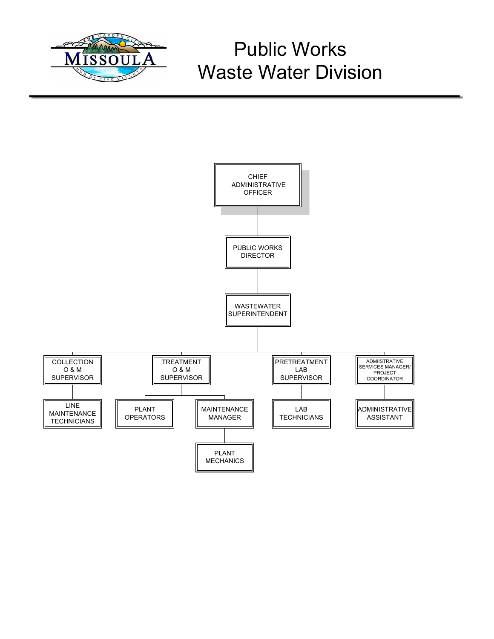

# Public Works Waste Water Division

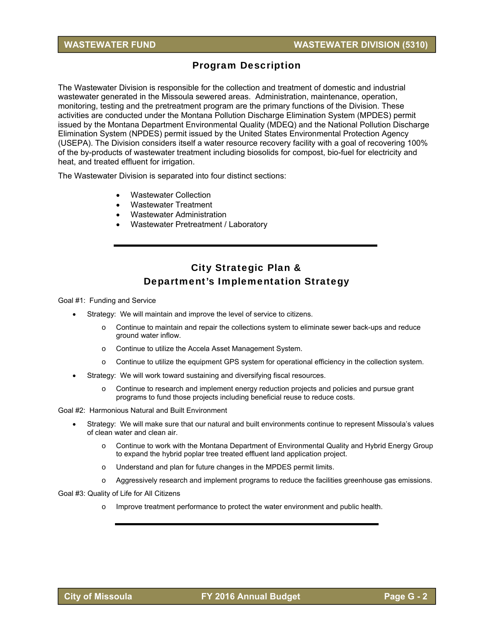## Program Description

The Wastewater Division is responsible for the collection and treatment of domestic and industrial wastewater generated in the Missoula sewered areas. Administration, maintenance, operation, monitoring, testing and the pretreatment program are the primary functions of the Division. These activities are conducted under the Montana Pollution Discharge Elimination System (MPDES) permit issued by the Montana Department Environmental Quality (MDEQ) and the National Pollution Discharge Elimination System (NPDES) permit issued by the United States Environmental Protection Agency (USEPA). The Division considers itself a water resource recovery facility with a goal of recovering 100% of the by-products of wastewater treatment including biosolids for compost, bio-fuel for electricity and heat, and treated effluent for irrigation.

The Wastewater Division is separated into four distinct sections:

- Wastewater Collection
- Wastewater Treatment
- Wastewater Administration
- Wastewater Pretreatment / Laboratory

## City Strategic Plan & Department's Implementation Strategy

Goal #1: Funding and Service

- Strategy: We will maintain and improve the level of service to citizens.
	- o Continue to maintain and repair the collections system to eliminate sewer back-ups and reduce ground water inflow.
	- o Continue to utilize the Accela Asset Management System.
	- $\circ$  Continue to utilize the equipment GPS system for operational efficiency in the collection system.
- Strategy: We will work toward sustaining and diversifying fiscal resources.
	- o Continue to research and implement energy reduction projects and policies and pursue grant programs to fund those projects including beneficial reuse to reduce costs.

Goal #2: Harmonious Natural and Built Environment

- Strategy: We will make sure that our natural and built environments continue to represent Missoula's values of clean water and clean air.
	- o Continue to work with the Montana Department of Environmental Quality and Hybrid Energy Group to expand the hybrid poplar tree treated effluent land application project.
	- o Understand and plan for future changes in the MPDES permit limits.
	- o Aggressively research and implement programs to reduce the facilities greenhouse gas emissions.

Goal #3: Quality of Life for All Citizens

o Improve treatment performance to protect the water environment and public health.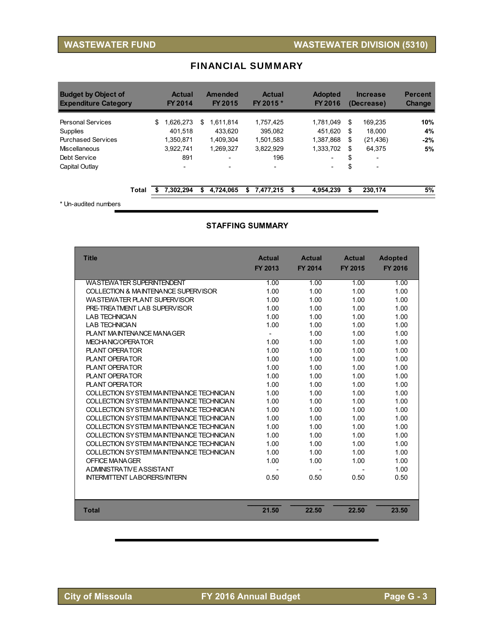| <b>Budget by Object of</b><br><b>Expenditure Category</b> | <b>Actual</b><br>FY 2014 |    | <b>Amended</b><br><b>FY 2015</b> |   | <b>Actual</b><br>FY 2015 * | <b>Adopted</b><br>FY 2016 |    | <b>Increase</b><br>(Decrease) | <b>Percent</b><br><b>Change</b> |
|-----------------------------------------------------------|--------------------------|----|----------------------------------|---|----------------------------|---------------------------|----|-------------------------------|---------------------------------|
| <b>Personal Services</b>                                  | \$<br>1,626,273          | \$ | 1.611.814                        |   | 1.757.425                  | 1.781.049                 | S  | 169.235                       | 10%                             |
| Supplies                                                  | 401.518                  |    | 433.620                          |   | 395.082                    | 451.620                   | \$ | 18.000                        | 4%                              |
| <b>Purchased Services</b>                                 | 1.350.871                |    | 1.409.304                        |   | 1.501.583                  | 1.387.868                 | \$ | (21, 436)                     | $-2%$                           |
| Miscellaneous                                             | 3.922.741                |    | 1,269,327                        |   | 3.822.929                  | 1.333.702                 | \$ | 64,375                        | 5%                              |
| Debt Service                                              | 891                      |    | -                                |   | 196                        | $\overline{\phantom{0}}$  | \$ | ۰                             |                                 |
| Capital Outlay                                            | $\overline{\phantom{0}}$ |    | $\overline{\phantom{0}}$         |   | $\overline{\phantom{a}}$   | $\overline{\phantom{a}}$  | \$ | ۰                             |                                 |
| Total                                                     | 7,302,294                | S  | 4,724,065                        | s | 7,477,215                  | \$<br>4.954.239           | \$ | 230,174                       | 5%                              |

### FINANCIAL SUMMARY

\* Un-audited numbers

#### **STAFFING SUMMARY**

| <b>Title</b>                             | <b>Actual</b><br>FY 2013 | <b>Actual</b><br><b>FY 2014</b> | <b>Actual</b><br><b>FY 2015</b> | <b>Adopted</b><br><b>FY 2016</b> |
|------------------------------------------|--------------------------|---------------------------------|---------------------------------|----------------------------------|
| <b>WASTEWATER SUPERINTENDENT</b>         | 1.00                     | 1.00                            | 1.00                            | 1.00                             |
| COLLECTION & MAINTENANCE SUPERVISOR      | 1.00                     | 1.00                            | 1.00                            | 1.00                             |
| WASTEWATER PLANT SUPERVISOR              | 1.00                     | 1.00                            | 1.00                            | 1.00                             |
| PRE-TREATMENT LAB SUPERVISOR             | 1.00                     | 1.00                            | 1.00                            | 1.00                             |
| <b>I AB TECHNICIAN</b>                   | 1.00                     | 1.00                            | 1.00                            | 1.00                             |
| <b>I AB TECHNICIAN</b>                   | 1.00                     | 1.00                            | 1.00                            | 1.00                             |
| PLANT MAINTENANCE MANAGER                | $\overline{\phantom{a}}$ | 1.00                            | 1.00                            | 1.00                             |
| MECHANIC/OPERATOR                        | 1.00                     | 1.00                            | 1.00                            | 1.00                             |
| PLANT OPFRATOR                           | 1.00                     | 1.00                            | 1.00                            | 1.00                             |
| <b>PLANT OPERATOR</b>                    | 1.00                     | 1.00                            | 1.00                            | 1.00                             |
| <b>PLANT OPERATOR</b>                    | 1.00                     | 1.00                            | 1.00                            | 1.00                             |
| <b>PLANT OPERATOR</b>                    | 1.00                     | 1.00                            | 1.00                            | 1.00                             |
| <b>PLANT OPERATOR</b>                    | 1.00                     | 1.00                            | 1.00                            | 1.00                             |
| COLLECTION SYSTEM MAINTENANCE TECHNICIAN | 1.00                     | 1.00                            | 1.00                            | 1.00                             |
| COLLECTION SYSTEM MAINTENANCE TECHNICIAN | 1.00                     | 1.00                            | 1.00                            | 1.00                             |
| COLLECTION SYSTEM MAINTENANCE TECHNICIAN | 1.00                     | 1.00                            | 1.00                            | 1.00                             |
| COLLECTION SYSTEM MAINTENANCE TECHNICIAN | 1.00                     | 1.00                            | 1.00                            | 1.00                             |
| COLLECTION SYSTEM MAINTENANCE TECHNICIAN | 1.00                     | 1.00                            | 1.00                            | 1.00                             |
| COLLECTION SYSTEM MAINTENANCE TECHNICIAN | 1.00                     | 1.00                            | 1.00                            | 1.00                             |
| COLLECTION SYSTEM MAINTENANCE TECHNICIAN | 1.00                     | 1.00                            | 1.00                            | 1.00                             |
| COLLECTION SYSTEM MAINTENANCE TECHNICIAN | 1.00                     | 1.00                            | 1.00                            | 1.00                             |
| OFFICE MANAGER                           | 1.00                     | 1.00                            | 1.00                            | 1.00                             |
| A DMINISTRATIVE ASSISTANT                |                          |                                 |                                 | 1.00                             |
| <b>INTERMITTENT LABORERS/INTERN</b>      | 0.50                     | 0.50                            | 0.50                            | 0.50                             |
|                                          |                          |                                 |                                 |                                  |
| <b>Total</b>                             | 21.50                    | 22.50                           | 22.50                           | 23.50                            |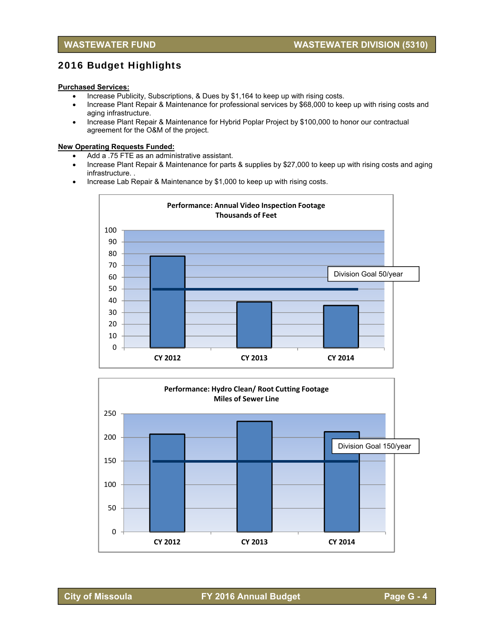## 2016 Budget Highlights

#### **Purchased Services:**

- Increase Publicity, Subscriptions, & Dues by \$1,164 to keep up with rising costs.
- Increase Plant Repair & Maintenance for professional services by \$68,000 to keep up with rising costs and aging infrastructure.
- Increase Plant Repair & Maintenance for Hybrid Poplar Project by \$100,000 to honor our contractual agreement for the O&M of the project.

#### **New Operating Requests Funded:**

- Add a .75 FTE as an administrative assistant.
- Increase Plant Repair & Maintenance for parts & supplies by \$27,000 to keep up with rising costs and aging infrastructure. .
- Increase Lab Repair & Maintenance by \$1,000 to keep up with rising costs.



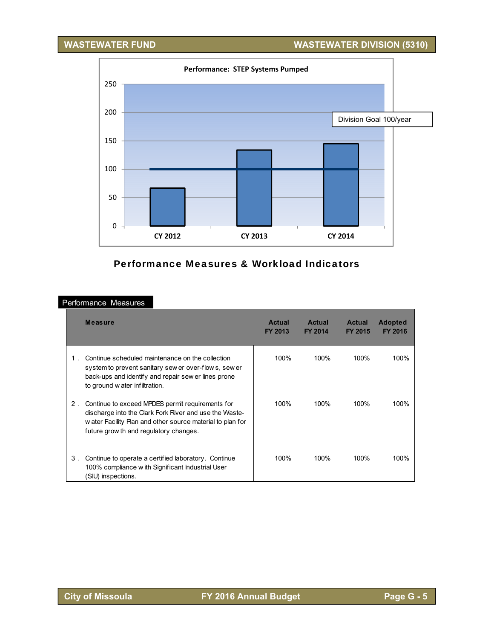**WASTEWATER FUND WASTEWATER DIVISION (5310)**



## Performance Measures & Workload Indicators

#### Performance Measures

|       | <b>Measure</b>                                                                                                                                                                                                     | <b>Actual</b><br>FY 2013 | <b>Actual</b><br>FY 2014 | <b>Actual</b><br>FY 2015 | <b>Adopted</b><br><b>FY 2016</b> |
|-------|--------------------------------------------------------------------------------------------------------------------------------------------------------------------------------------------------------------------|--------------------------|--------------------------|--------------------------|----------------------------------|
|       | Continue scheduled maintenance on the collection<br>system to prevent sanitary sew er over-flow s, sew er<br>back-ups and identify and repair sew er lines prone<br>to ground w ater infiltration.                 | 100%                     | 100%                     | 100%                     | 100%                             |
| $2$ . | Continue to exceed MPDES permit requirements for<br>discharge into the Clark Fork River and use the Waste-<br>w ater Facility Plan and other source material to plan for<br>future grow th and regulatory changes. | 100%                     | 100%                     | 100%                     | 100%                             |
| 3.    | Continue to operate a certified laboratory. Continue<br>100% compliance w ith Significant Industrial User<br>(SIU) inspections.                                                                                    | 100%                     | 100%                     | 100%                     | 100%                             |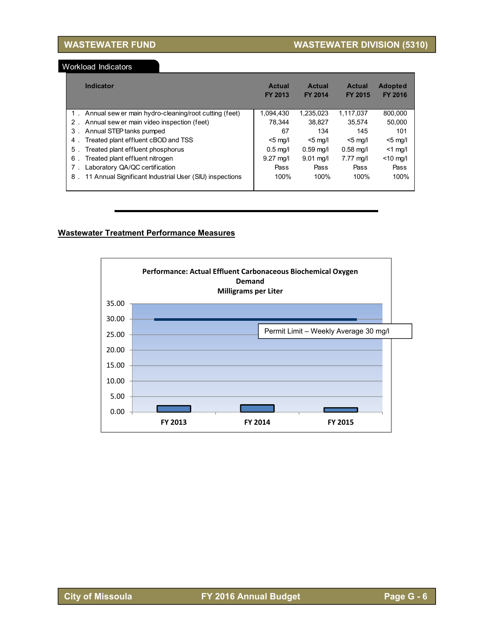Workload Indicators

| Indicator                                                     | <b>Actual</b><br><b>FY 2013</b> | Actual<br><b>FY 2014</b> | <b>Actual</b><br><b>FY 2015</b> | <b>Adopted</b><br>FY 2016 |
|---------------------------------------------------------------|---------------------------------|--------------------------|---------------------------------|---------------------------|
| 1. Annual sew er main hydro-cleaning/root cutting (feet)      | 1,094,430                       | 1.235.023                | 1.117.037                       | 800,000                   |
| 2. Annual sew er main video inspection (feet)                 | 78.344                          | 38.827                   | 35.574                          | 50.000                    |
| Annual STEP tanks pumped<br>3.                                | 67                              | 134                      | 145                             | 101                       |
| Treated plant effluent cBOD and TSS<br>4.                     | $<$ 5 mg/l                      | $<$ 5 mg/l               | $<$ 5 mg/l                      | $<$ 5 mg/l                |
| Treated plant effluent phosphorus<br>5.                       | $0.5$ mg/l                      | $0.59$ mg/l              | $0.58$ mg/l                     | $<$ 1 mg/l                |
| Treated plant effluent nitrogen<br>6.                         | $9.27 \text{ mol}$              | $9.01 \text{ ma/l}$      | $7.77 \text{ mol}$              | $<$ 10 mg/l               |
| Laboratory QA/QC certification<br>$7$ .                       | Pass                            | Pass                     | Pass                            | Pass                      |
| 11 Annual Significant Industrial User (SIU) inspections<br>8. | 100%                            | 100%                     | 100%                            | 100%                      |

#### **Wastewater Treatment Performance Measures**

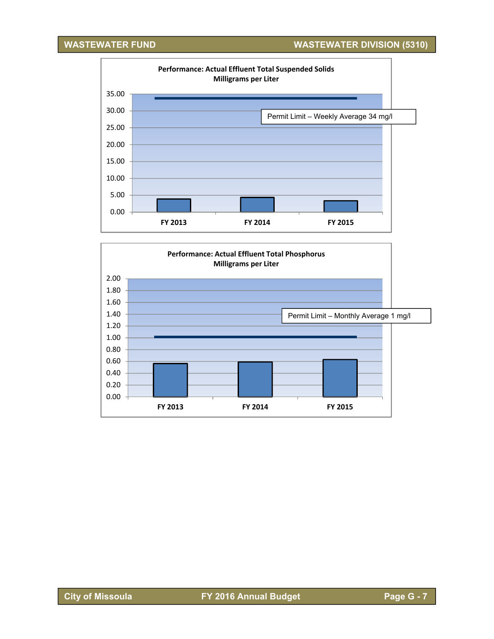**WASTEWATER FUND WASTEWATER DIVISION (5310)**



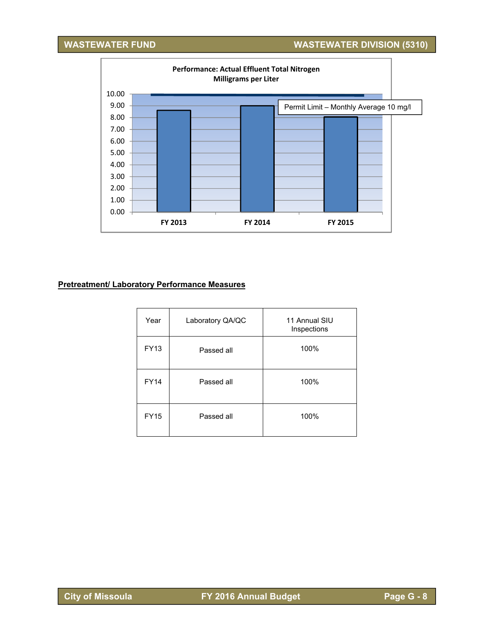## **WASTEWATER FUND WASTEWATER DIVISION (5310)**



#### **Pretreatment/ Laboratory Performance Measures**

| Year        | Laboratory QA/QC | 11 Annual SIU<br>Inspections |
|-------------|------------------|------------------------------|
| <b>FY13</b> | Passed all       | 100%                         |
| <b>FY14</b> | Passed all       | 100%                         |
| <b>FY15</b> | Passed all       | 100%                         |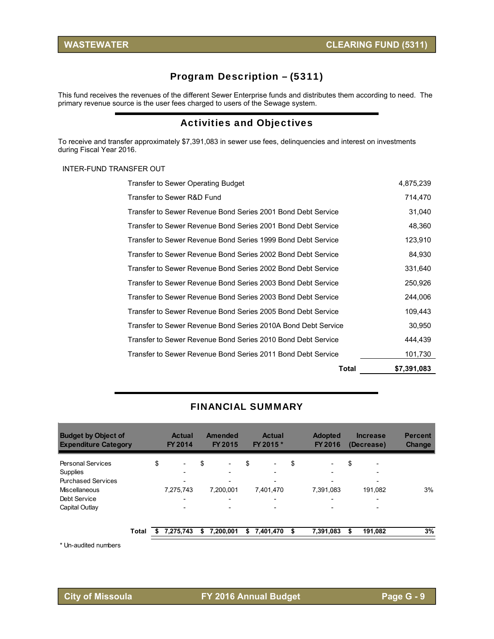## Program Description – (5311)

This fund receives the revenues of the different Sewer Enterprise funds and distributes them according to need. The primary revenue source is the user fees charged to users of the Sewage system.

## Activities and Objectives

To receive and transfer approximately \$7,391,083 in sewer use fees, delinquencies and interest on investments during Fiscal Year 2016.

#### INTER-FUND TRANSFER OUT

| Total                                                         | \$7,391,083 |
|---------------------------------------------------------------|-------------|
| Transfer to Sewer Revenue Bond Series 2011 Bond Debt Service  | 101,730     |
| Transfer to Sewer Revenue Bond Series 2010 Bond Debt Service  | 444,439     |
| Transfer to Sewer Revenue Bond Series 2010A Bond Debt Service | 30,950      |
| Transfer to Sewer Revenue Bond Series 2005 Bond Debt Service  | 109,443     |
| Transfer to Sewer Revenue Bond Series 2003 Bond Debt Service  | 244,006     |
| Transfer to Sewer Revenue Bond Series 2003 Bond Debt Service  | 250,926     |
| Transfer to Sewer Revenue Bond Series 2002 Bond Debt Service  | 331,640     |
| Transfer to Sewer Revenue Bond Series 2002 Bond Debt Service  | 84,930      |
| Transfer to Sewer Revenue Bond Series 1999 Bond Debt Service  | 123,910     |
| Transfer to Sewer Revenue Bond Series 2001 Bond Debt Service  | 48,360      |
| Transfer to Sewer Revenue Bond Series 2001 Bond Debt Service  | 31,040      |
| Transfer to Sewer R&D Fund                                    | 714,470     |
| Transfer to Sewer Operating Budget                            | 4,875,239   |

#### FINANCIAL SUMMARY

| <b>Budget by Object of</b><br><b>Expenditure Category</b> |       | <b>Actual</b><br>FY 2014       |    | <b>Amended</b><br><b>FY 2015</b> |    | <b>Actual</b><br>FY 2015 * |    | <b>Adopted</b><br>FY 2016 |    | <b>Increase</b><br>(Decrease) | <b>Percent</b><br><b>Change</b> |
|-----------------------------------------------------------|-------|--------------------------------|----|----------------------------------|----|----------------------------|----|---------------------------|----|-------------------------------|---------------------------------|
| <b>Personal Services</b>                                  |       | \$<br>$\overline{\phantom{a}}$ | \$ | $\overline{\phantom{a}}$         | \$ | $\overline{\phantom{0}}$   | \$ | -                         | \$ | $\overline{\phantom{0}}$      |                                 |
| Supplies                                                  |       |                                |    |                                  |    | $\overline{\phantom{0}}$   |    | $\overline{\phantom{0}}$  |    | $\overline{\phantom{0}}$      |                                 |
| <b>Purchased Services</b>                                 |       |                                |    |                                  |    |                            |    |                           |    | $\overline{\phantom{0}}$      |                                 |
| Miscellaneous                                             |       | 7.275.743                      |    | 7,200,001                        |    | 7.401.470                  |    | 7.391.083                 |    | 191.082                       | 3%                              |
| Debt Service                                              |       | $\overline{\phantom{0}}$       |    | $\overline{\phantom{0}}$         |    | $\overline{\phantom{0}}$   |    | -                         |    | $\overline{\phantom{0}}$      |                                 |
| Capital Outlay                                            |       | $\overline{\phantom{a}}$       |    |                                  |    | $\overline{\phantom{0}}$   |    | $\overline{\phantom{0}}$  |    | $\overline{\phantom{0}}$      |                                 |
|                                                           | Total | 7,275,743                      | S  | 7,200,001                        | S  | 7,401,470                  | S  | 7,391,083                 | S  | 191,082                       | 3%                              |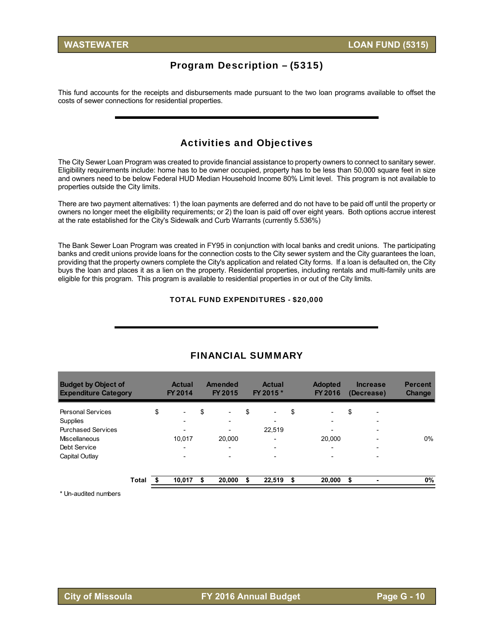## Program Description – (5315)

This fund accounts for the receipts and disbursements made pursuant to the two loan programs available to offset the costs of sewer connections for residential properties.

### Activities and Objectives

The City Sewer Loan Program was created to provide financial assistance to property owners to connect to sanitary sewer. Eligibility requirements include: home has to be owner occupied, property has to be less than 50,000 square feet in size and owners need to be below Federal HUD Median Household Income 80% Limit level. This program is not available to properties outside the City limits.

There are two payment alternatives: 1) the loan payments are deferred and do not have to be paid off until the property or owners no longer meet the eligibility requirements; or 2) the loan is paid off over eight years. Both options accrue interest at the rate established for the City's Sidewalk and Curb Warrants (currently 5.536%)

The Bank Sewer Loan Program was created in FY95 in conjunction with local banks and credit unions. The participating banks and credit unions provide loans for the connection costs to the City sewer system and the City guarantees the loan, providing that the property owners complete the City's application and related City forms. If a loan is defaulted on, the City buys the loan and places it as a lien on the property. Residential properties, including rentals and multi-family units are eligible for this program. This program is available to residential properties in or out of the City limits.

#### TOTAL FUND EXPENDITURES - \$20,000

| <b>Budget by Object of</b><br><b>Expenditure Category</b> |       | <b>Actual</b><br>FY 2014       |     | <b>Amended</b><br>FY 2015 | <b>Actual</b><br>FY 2015 *     | <b>Adopted</b><br>FY 2016      | <b>Increase</b><br>(Decrease) | <b>Percent</b><br><b>Change</b> |
|-----------------------------------------------------------|-------|--------------------------------|-----|---------------------------|--------------------------------|--------------------------------|-------------------------------|---------------------------------|
| <b>Personal Services</b>                                  |       | \$<br>$\overline{\phantom{0}}$ | \$  | -                         | \$<br>$\overline{\phantom{a}}$ | \$<br>$\overline{\phantom{a}}$ | \$                            |                                 |
| Supplies<br><b>Purchased Services</b>                     |       | $\overline{\phantom{0}}$       |     | -                         | 22,519                         | $\overline{\phantom{0}}$       |                               |                                 |
| Miscellaneous                                             |       | 10.017                         |     | 20,000                    | -                              | 20,000                         |                               | 0%                              |
| Debt Service                                              |       | $\overline{\phantom{0}}$       |     | $\overline{\phantom{0}}$  | $\overline{\phantom{0}}$       | $\overline{\phantom{a}}$       | $\overline{\phantom{0}}$      |                                 |
| Capital Outlay                                            |       | $\overline{\phantom{0}}$       |     |                           |                                |                                |                               |                                 |
|                                                           | Total | 10.017                         | \$. | 20,000                    | \$<br>22,519                   | \$<br>20,000                   | \$                            | 0%                              |

#### FINANCIAL SUMMARY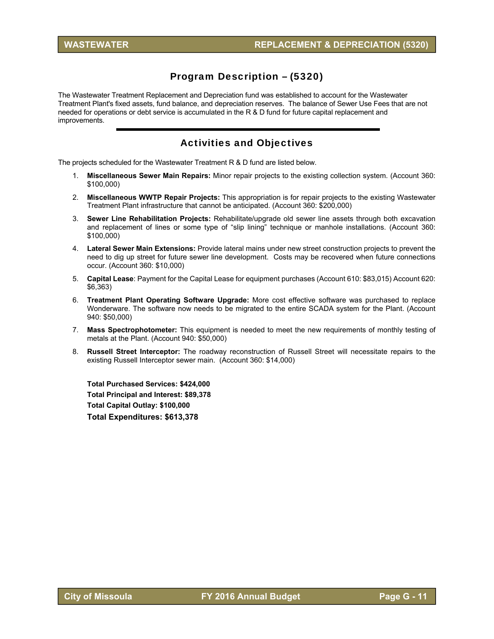## Program Description – (5320)

The Wastewater Treatment Replacement and Depreciation fund was established to account for the Wastewater Treatment Plant's fixed assets, fund balance, and depreciation reserves. The balance of Sewer Use Fees that are not needed for operations or debt service is accumulated in the R & D fund for future capital replacement and improvements.

### Activities and Objectives

The projects scheduled for the Wastewater Treatment R & D fund are listed below.

- 1. **Miscellaneous Sewer Main Repairs:** Minor repair projects to the existing collection system. (Account 360: \$100,000)
- 2. **Miscellaneous WWTP Repair Projects:** This appropriation is for repair projects to the existing Wastewater Treatment Plant infrastructure that cannot be anticipated. (Account 360: \$200,000)
- 3. **Sewer Line Rehabilitation Projects:** Rehabilitate/upgrade old sewer line assets through both excavation and replacement of lines or some type of "slip lining" technique or manhole installations. (Account 360: \$100,000)
- 4. **Lateral Sewer Main Extensions:** Provide lateral mains under new street construction projects to prevent the need to dig up street for future sewer line development. Costs may be recovered when future connections occur. (Account 360: \$10,000)
- 5. **Capital Lease**: Payment for the Capital Lease for equipment purchases (Account 610: \$83,015) Account 620: \$6,363)
- 6. **Treatment Plant Operating Software Upgrade:** More cost effective software was purchased to replace Wonderware. The software now needs to be migrated to the entire SCADA system for the Plant. (Account 940: \$50,000)
- 7. **Mass Spectrophotometer:** This equipment is needed to meet the new requirements of monthly testing of metals at the Plant. (Account 940: \$50,000)
- 8. **Russell Street Interceptor:** The roadway reconstruction of Russell Street will necessitate repairs to the existing Russell Interceptor sewer main. (Account 360: \$14,000)

**Total Purchased Services: \$424,000 Total Principal and Interest: \$89,378 Total Capital Outlay: \$100,000 Total Expenditures: \$613,378**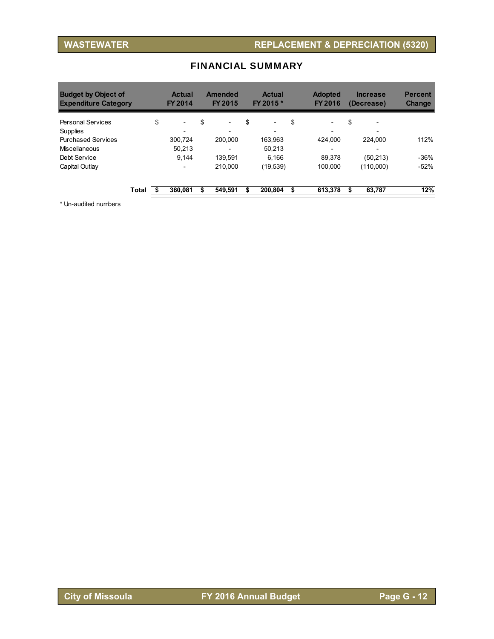| <b>Budget by Object of</b><br><b>Expenditure Category</b> |       | <b>Actual</b><br><b>FY 2014</b> | Amended<br>FY 2015             | <b>Actual</b><br>FY 2015 *     | <b>Adopted</b><br>FY 2016      | <b>Increase</b><br>(Decrease)  | <b>Percent</b><br><b>Change</b> |
|-----------------------------------------------------------|-------|---------------------------------|--------------------------------|--------------------------------|--------------------------------|--------------------------------|---------------------------------|
| <b>Personal Services</b>                                  |       | \$<br>$\overline{\phantom{a}}$  | \$<br>$\overline{\phantom{a}}$ | \$<br>$\overline{\phantom{a}}$ | \$<br>$\overline{\phantom{0}}$ | \$<br>$\overline{\phantom{0}}$ |                                 |
| Supplies                                                  |       | $\overline{\phantom{0}}$        | -                              | $\overline{\phantom{0}}$       | -                              | $\overline{\phantom{0}}$       |                                 |
| <b>Purchased Services</b>                                 |       | 300.724                         | 200.000                        | 163.963                        | 424.000                        | 224.000                        | 112%                            |
| Miscellaneous                                             |       | 50.213                          | $\overline{\phantom{0}}$       | 50.213                         | $\overline{\phantom{0}}$       | -                              |                                 |
| Debt Service                                              |       | 9.144                           | 139.591                        | 6.166                          | 89.378                         | (50.213)                       | $-36%$                          |
| Capital Outlay                                            |       | $\overline{\phantom{0}}$        | 210.000                        | (19, 539)                      | 100.000                        | (110,000)                      | $-52%$                          |
|                                                           | Total | 360.081                         | 549.591                        | 200.804                        | 613.378                        | \$<br>63.787                   | 12%                             |

## FINANCIAL SUMMARY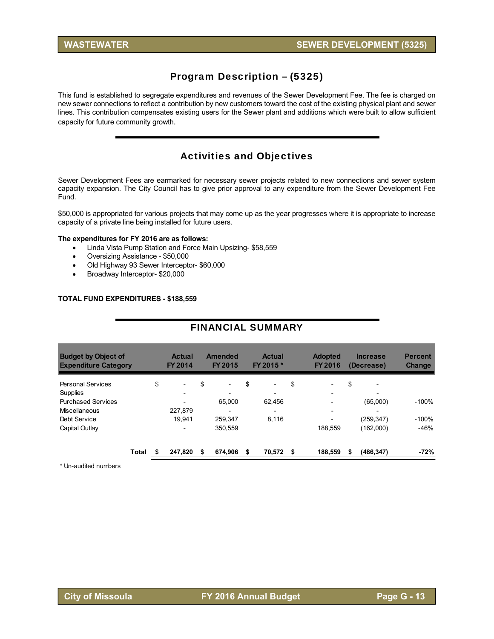## Program Description – (5325)

This fund is established to segregate expenditures and revenues of the Sewer Development Fee. The fee is charged on new sewer connections to reflect a contribution by new customers toward the cost of the existing physical plant and sewer lines. This contribution compensates existing users for the Sewer plant and additions which were built to allow sufficient capacity for future community growth.

## Activities and Objectives

Sewer Development Fees are earmarked for necessary sewer projects related to new connections and sewer system capacity expansion. The City Council has to give prior approval to any expenditure from the Sewer Development Fee Fund.

\$50,000 is appropriated for various projects that may come up as the year progresses where it is appropriate to increase capacity of a private line being installed for future users.

#### **The expenditures for FY 2016 are as follows:**

- Linda Vista Pump Station and Force Main Upsizing- \$58,559
- Oversizing Assistance \$50,000
- Old Highway 93 Sewer Interceptor- \$60,000
- Broadway Interceptor- \$20,000

#### **TOTAL FUND EXPENDITURES - \$188,559**

| <b>FINANCIAL SUMMARY</b>                                  |    |                                 |    |                           |    |                            |    |                                  |    |                               |                                 |  |  |
|-----------------------------------------------------------|----|---------------------------------|----|---------------------------|----|----------------------------|----|----------------------------------|----|-------------------------------|---------------------------------|--|--|
| <b>Budget by Object of</b><br><b>Expenditure Category</b> |    | <b>Actual</b><br><b>FY 2014</b> |    | Amended<br><b>FY 2015</b> |    | <b>Actual</b><br>FY 2015 * |    | <b>Adopted</b><br><b>FY 2016</b> |    | <b>Increase</b><br>(Decrease) | <b>Percent</b><br><b>Change</b> |  |  |
| <b>Personal Services</b>                                  | \$ | $\overline{\phantom{a}}$        | \$ |                           | \$ | $\overline{\phantom{a}}$   | \$ |                                  | \$ |                               |                                 |  |  |
| Supplies                                                  |    |                                 |    |                           |    |                            |    | -                                |    |                               |                                 |  |  |
| <b>Purchased Services</b>                                 |    |                                 |    | 65,000                    |    | 62,456                     |    | -                                |    | (65,000)                      | $-100%$                         |  |  |
| Miscellaneous                                             |    | 227.879                         |    |                           |    |                            |    | $\overline{\phantom{0}}$         |    |                               |                                 |  |  |
| Debt Service                                              |    | 19.941                          |    | 259.347                   |    | 8.116                      |    |                                  |    | (259,347)                     | $-100%$                         |  |  |
| Capital Outlay                                            |    |                                 |    | 350.559                   |    |                            |    | 188.559                          |    | (162,000)                     | $-46%$                          |  |  |
| Total                                                     |    | 247,820                         | S  | 674,906                   |    | 70,572                     | S  | 188,559                          | \$ | (486, 347)                    | $-72%$                          |  |  |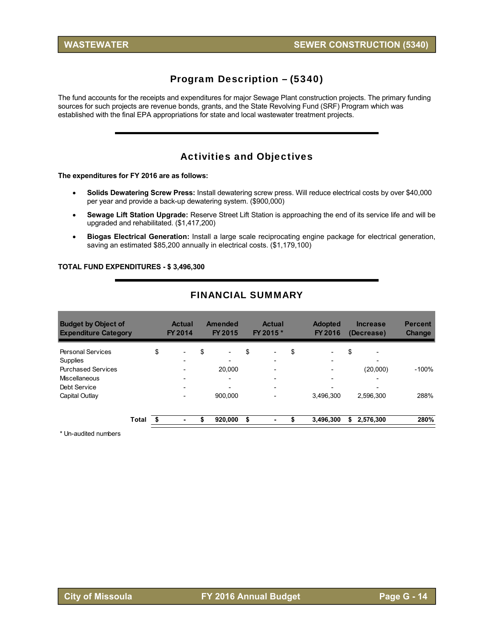## Program Description – (5340)

The fund accounts for the receipts and expenditures for major Sewage Plant construction projects. The primary funding sources for such projects are revenue bonds, grants, and the State Revolving Fund (SRF) Program which was established with the final EPA appropriations for state and local wastewater treatment projects.

## Activities and Objectives

#### **The expenditures for FY 2016 are as follows:**

- **Solids Dewatering Screw Press:** Install dewatering screw press. Will reduce electrical costs by over \$40,000 per year and provide a back-up dewatering system. (\$900,000)
- **Sewage Lift Station Upgrade:** Reserve Street Lift Station is approaching the end of its service life and will be upgraded and rehabilitated. (\$1,417,200)
- **Biogas Electrical Generation:** Install a large scale reciprocating engine package for electrical generation, saving an estimated \$85,200 annually in electrical costs. (\$1,179,100)

#### **TOTAL FUND EXPENDITURES - \$ 3,496,300**

| <b>Budget by Object of</b><br><b>Expenditure Category</b> |       | <b>Actual</b><br>FY 2014       | Amended<br>FY 2015             | <b>Actual</b><br>FY 2015 *                           |    | <b>Adopted</b><br>FY 2016     |    | <b>Increase</b><br>(Decrease)        | <b>Percent</b><br><b>Change</b> |
|-----------------------------------------------------------|-------|--------------------------------|--------------------------------|------------------------------------------------------|----|-------------------------------|----|--------------------------------------|---------------------------------|
| <b>Personal Services</b>                                  |       | \$<br>$\overline{\phantom{a}}$ | \$<br>$\overline{\phantom{0}}$ | \$<br>$\overline{\phantom{0}}$                       | \$ | -                             | \$ | $\overline{\phantom{0}}$             |                                 |
| Supplies<br><b>Purchased Services</b>                     |       |                                | 20,000                         | $\overline{\phantom{0}}$<br>$\overline{\phantom{0}}$ |    | -<br>$\overline{\phantom{0}}$ |    | $\overline{\phantom{0}}$<br>(20,000) | $-100%$                         |
| Miscellaneous                                             |       |                                | $\overline{\phantom{0}}$       | $\overline{\phantom{0}}$                             |    | $\overline{a}$                |    | $\overline{\phantom{0}}$             |                                 |
| Debt Service                                              |       |                                |                                | $\overline{\phantom{0}}$                             |    |                               |    | $\overline{\phantom{0}}$             |                                 |
| Capital Outlay                                            |       |                                | 900.000                        |                                                      |    | 3.496.300                     |    | 2.596.300                            | 288%                            |
|                                                           |       |                                |                                |                                                      |    |                               |    |                                      |                                 |
|                                                           | Total | ٠                              | \$<br>920,000                  | \$                                                   | S  | 3,496,300                     | S  | 2,576,300                            | 280%                            |

#### FINANCIAL SUMMARY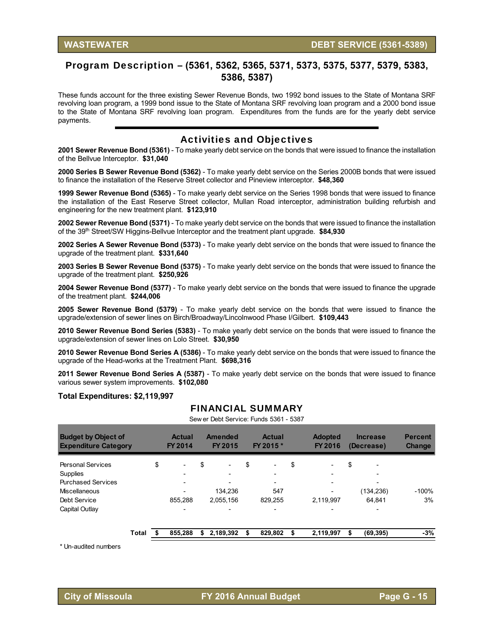#### Program Description – **(5361, 5362, 5365, 5371, 5373, 5375, 5377, 5379, 5383, 5386, 5387)**

These funds account for the three existing Sewer Revenue Bonds, two 1992 bond issues to the State of Montana SRF revolving loan program, a 1999 bond issue to the State of Montana SRF revolving loan program and a 2000 bond issue to the State of Montana SRF revolving loan program. Expenditures from the funds are for the yearly debt service payments.

#### Activities and Objectives

**2001 Sewer Revenue Bond (5361)** - To make yearly debt service on the bonds that were issued to finance the installation of the Bellvue Interceptor. **\$31,040** 

**2000 Series B Sewer Revenue Bond (5362)** - To make yearly debt service on the Series 2000B bonds that were issued to finance the installation of the Reserve Street collector and Pineview interceptor. **\$48,360** 

**1999 Sewer Revenue Bond (5365)** - To make yearly debt service on the Series 1998 bonds that were issued to finance the installation of the East Reserve Street collector, Mullan Road interceptor, administration building refurbish and engineering for the new treatment plant. **\$123,910**

**2002 Sewer Revenue Bond (5371)** - To make yearly debt service on the bonds that were issued to finance the installation of the 39th Street/SW Higgins-Bellvue Interceptor and the treatment plant upgrade. **\$84,930** 

**2002 Series A Sewer Revenue Bond (5373)** - To make yearly debt service on the bonds that were issued to finance the upgrade of the treatment plant. **\$331,640** 

**2003 Series B Sewer Revenue Bond (5375)** - To make yearly debt service on the bonds that were issued to finance the upgrade of the treatment plant. **\$250,926** 

**2004 Sewer Revenue Bond (5377)** - To make yearly debt service on the bonds that were issued to finance the upgrade of the treatment plant. **\$244,006** 

**2005 Sewer Revenue Bond (5379)** - To make yearly debt service on the bonds that were issued to finance the upgrade/extension of sewer lines on Birch/Broadway/Lincolnwood Phase I/Gilbert. **\$109,443** 

**2010 Sewer Revenue Bond Series (5383)** - To make yearly debt service on the bonds that were issued to finance the upgrade/extension of sewer lines on Lolo Street. **\$30,950** 

**2010 Sewer Revenue Bond Series A (5386)** - To make yearly debt service on the bonds that were issued to finance the upgrade of the Head-works at the Treatment Plant. **\$698,316** 

**2011 Sewer Revenue Bond Series A (5387)** - To make yearly debt service on the bonds that were issued to finance various sewer system improvements. **\$102,080** 

#### **Total Expenditures: \$2,119,997**

#### FINANCIAL SUMMARY

| <b>Budget by Object of</b><br><b>Expenditure Category</b>                                                            |       | <b>Actual</b><br>FY 2014 |                                     | <b>Amended</b><br>FY 2015 | <b>Actual</b><br>FY 2015 * |    |                | <b>Adopted</b><br>FY 2016 |           | <b>Increase</b><br>(Decrease) | <b>Percent</b><br><b>Change</b> |               |
|----------------------------------------------------------------------------------------------------------------------|-------|--------------------------|-------------------------------------|---------------------------|----------------------------|----|----------------|---------------------------|-----------|-------------------------------|---------------------------------|---------------|
| <b>Personal Services</b><br>Supplies<br><b>Purchased Services</b><br>Miscellaneous<br>Debt Service<br>Capital Outlay |       | \$                       | $\overline{\phantom{a}}$<br>855.288 | \$                        | 134,236<br>2,055,156       | \$ | 547<br>829,255 | \$                        | 2,119,997 | \$                            | (134, 236)<br>64.841            | $-100%$<br>3% |
|                                                                                                                      | Total |                          | 855,288                             | S                         | 2,189,392                  | \$ | 829,802        | \$                        | 2,119,997 | \$                            | (69, 395)                       | $-3%$         |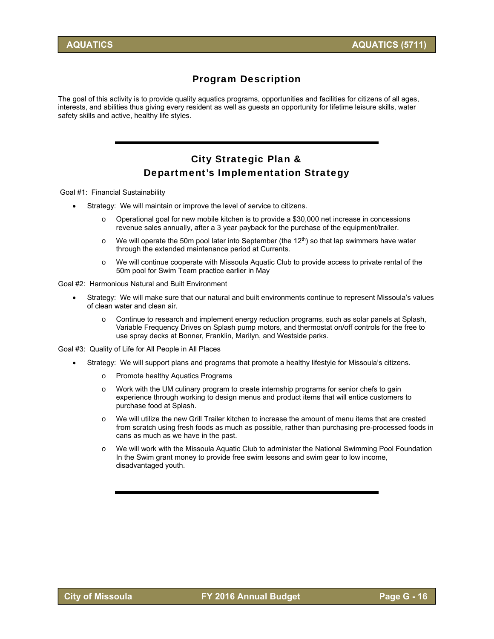### Program Description

The goal of this activity is to provide quality aquatics programs, opportunities and facilities for citizens of all ages, interests, and abilities thus giving every resident as well as guests an opportunity for lifetime leisure skills, water safety skills and active, healthy life styles.

## City Strategic Plan & Department's Implementation Strategy

Goal #1: Financial Sustainability

- Strategy: We will maintain or improve the level of service to citizens.
	- $\circ$  Operational goal for new mobile kitchen is to provide a \$30,000 net increase in concessions revenue sales annually, after a 3 year payback for the purchase of the equipment/trailer.
	- $\circ$  We will operate the 50m pool later into September (the 12<sup>th</sup>) so that lap swimmers have water through the extended maintenance period at Currents.
	- o We will continue cooperate with Missoula Aquatic Club to provide access to private rental of the 50m pool for Swim Team practice earlier in May

Goal #2: Harmonious Natural and Built Environment

- Strategy: We will make sure that our natural and built environments continue to represent Missoula's values of clean water and clean air.
	- Continue to research and implement energy reduction programs, such as solar panels at Splash, Variable Frequency Drives on Splash pump motors, and thermostat on/off controls for the free to use spray decks at Bonner, Franklin, Marilyn, and Westside parks.
- Goal #3: Quality of Life for All People in All Places
	- Strategy: We will support plans and programs that promote a healthy lifestyle for Missoula's citizens.
		- o Promote healthy Aquatics Programs
		- o Work with the UM culinary program to create internship programs for senior chefs to gain experience through working to design menus and product items that will entice customers to purchase food at Splash.
		- o We will utilize the new Grill Trailer kitchen to increase the amount of menu items that are created from scratch using fresh foods as much as possible, rather than purchasing pre-processed foods in cans as much as we have in the past.
		- o We will work with the Missoula Aquatic Club to administer the National Swimming Pool Foundation In the Swim grant money to provide free swim lessons and swim gear to low income, disadvantaged youth.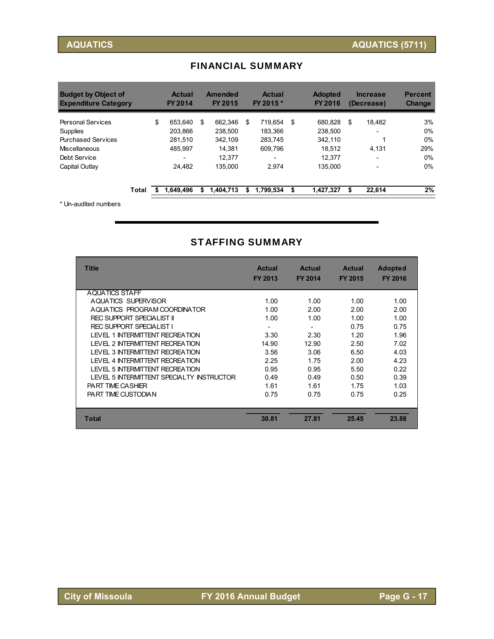| <b>Budget by Object of</b><br><b>Expenditure Category</b> |       | <b>Actual</b><br><b>FY 2014</b> |    | Amended<br>FY 2015 | <b>Actual</b><br>FY 2015 * | <b>Adopted</b><br><b>FY 2016</b> | <b>Increase</b><br>(Decrease) | <b>Percent</b><br><b>Change</b> |
|-----------------------------------------------------------|-------|---------------------------------|----|--------------------|----------------------------|----------------------------------|-------------------------------|---------------------------------|
| Personal Services                                         |       | \$<br>653.640                   | \$ | 662.346            | \$<br>719.654              | \$<br>680.828                    | \$<br>18.482                  | 3%                              |
| Supplies                                                  |       | 203.866                         |    | 238,500            | 183.366                    | 238.500                          |                               | 0%                              |
| <b>Purchased Services</b>                                 |       | 281.510                         |    | 342.109            | 283.745                    | 342.110                          |                               | 0%                              |
| Miscellaneous                                             |       | 485.997                         |    | 14.381             | 609.796                    | 18.512                           | 4.131                         | 29%                             |
| Debt Service                                              |       | $\overline{\phantom{0}}$        |    | 12.377             |                            | 12.377                           |                               | 0%                              |
| Capital Outlay                                            |       | 24.482                          |    | 135.000            | 2.974                      | 135.000                          | $\overline{\phantom{a}}$      | 0%                              |
|                                                           | Total | 1.649.496                       | S  | 1,404,713          | \$<br>1,799,534            | \$<br>1,427,327                  | \$<br>22,614                  | 2%                              |

## FINANCIAL SUMMARY

\* Un-audited numbers

### STAFFING SUMMARY

| <b>Title</b>                              | <b>Actual</b><br>FY 2013 | <b>Actual</b><br><b>FY 2014</b> | <b>Actual</b><br><b>FY 2015</b> | <b>Adopted</b><br><b>FY 2016</b> |
|-------------------------------------------|--------------------------|---------------------------------|---------------------------------|----------------------------------|
| AQUATICS STAFF                            |                          |                                 |                                 |                                  |
| AQUATICS SUPERVISOR                       | 1.00                     | 1.00                            | 1.00                            | 1.00                             |
| AQUATICS PROGRAM COORDINATOR              | 1.00                     | 2.00                            | 2.00                            | 2.00                             |
| <b>REC SUPPORT SPECIALIST II</b>          | 1.00                     | 1.00                            | 1.00                            | 1.00                             |
| <b>REC SUPPORT SPECIALIST I</b>           |                          |                                 | 0.75                            | 0.75                             |
| <b>LEVEL 1 INTERMITTENT RECREATION</b>    | 3.30                     | 2.30                            | 1.20                            | 1.96                             |
| I FVFI 2 INTFRMITTENT RECREATION          | 14.90                    | 12.90                           | 2.50                            | 7.02                             |
| LEVEL 3 INTERMITTENT RECREATION           | 3.56                     | 3.06                            | 6.50                            | 4.03                             |
| LEVEL 4 INTERMITTENT RECREATION           | 2.25                     | 1.75                            | 2.00                            | 4.23                             |
| LEVEL 5 INTERMITTENT RECREATION           | 0.95                     | 0.95                            | 5.50                            | 0.22                             |
| LEVEL 5 INTERMITTENT SPECIALTY INSTRUCTOR | 0.49                     | 0.49                            | 0.50                            | 0.39                             |
| <b>PART TIME CASHIER</b>                  | 1.61                     | 1.61                            | 1.75                            | 1.03                             |
| PART TIME CUSTODIAN                       | 0.75                     | 0.75                            | 0.75                            | 0.25                             |
|                                           |                          |                                 |                                 |                                  |
| <b>Total</b>                              | 30.81                    | 27.81                           | 25.45                           | 23.88                            |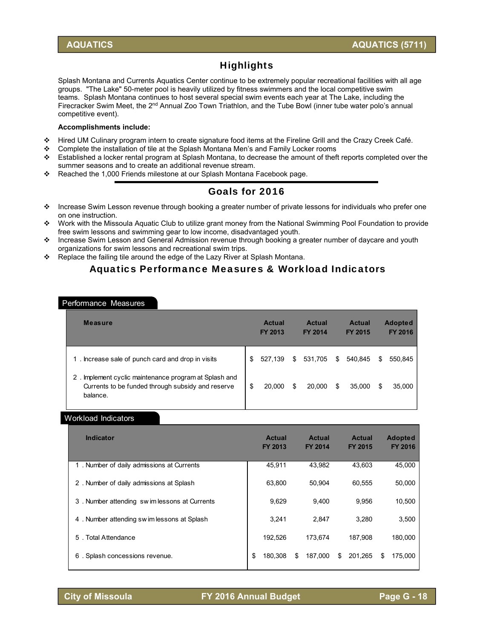## **Highlights**

Splash Montana and Currents Aquatics Center continue to be extremely popular recreational facilities with all age groups. "The Lake" 50-meter pool is heavily utilized by fitness swimmers and the local competitive swim teams. Splash Montana continues to host several special swim events each year at The Lake, including the Firecracker Swim Meet, the 2<sup>nd</sup> Annual Zoo Town Triathlon, and the Tube Bowl (inner tube water polo's annual competitive event).

#### **Accomplishments include:**

- Hired UM Culinary program intern to create signature food items at the Fireline Grill and the Crazy Creek Café.
- Complete the installation of tile at the Splash Montana Men's and Family Locker rooms
- $\div$  Established a locker rental program at Splash Montana, to decrease the amount of theft reports completed over the summer seasons and to create an additional revenue stream.
- \* Reached the 1,000 Friends milestone at our Splash Montana Facebook page.

## Goals for 2016

- $\cdot \cdot$  Increase Swim Lesson revenue through booking a greater number of private lessons for individuals who prefer one on one instruction.
- Work with the Missoula Aquatic Club to utilize grant money from the National Swimming Pool Foundation to provide free swim lessons and swimming gear to low income, disadvantaged youth.
- ❖ Increase Swim Lesson and General Admission revenue through booking a greater number of daycare and youth organizations for swim lessons and recreational swim trips.
- \* Replace the failing tile around the edge of the Lazy River at Splash Montana.

### Aquatics Performance Measures & Workload Indicators

#### Performance Measures

| <b>Measure</b>                                                                                                           | <b>Actual</b><br>FY 2013 |    | <b>Actual</b><br><b>FY 2014</b> |   | <b>Actual</b><br>FY 2015 |   | <b>Adopted</b><br><b>FY 2016</b> |
|--------------------------------------------------------------------------------------------------------------------------|--------------------------|----|---------------------------------|---|--------------------------|---|----------------------------------|
| . Increase sale of punch card and drop in visits<br>1                                                                    | \$<br>527.139            | \$ | 531.705                         | S | 540.845                  | S | 550,845                          |
| Implement cyclic maintenance program at Splash and<br>2<br>Currents to be funded through subsidy and reserve<br>balance. | \$<br>20,000             | S  | 20,000                          | S | 35,000                   | S | 35,000                           |

#### Workload Indicators

| <b>Indicator</b>                            | <b>Actual</b><br><b>FY 2013</b> | <b>Actual</b><br><b>FY 2014</b> | <b>Actual</b><br><b>FY 2015</b> | <b>Adopted</b><br><b>FY 2016</b> |
|---------------------------------------------|---------------------------------|---------------------------------|---------------------------------|----------------------------------|
| 1. Number of daily admissions at Currents   | 45.911                          | 43.982                          | 43.603                          | 45,000                           |
| 2. Number of daily admissions at Splash     | 63.800                          | 50.904                          | 60.555                          | 50,000                           |
| 3. Number attending swimlessons at Currents | 9,629                           | 9.400                           | 9,956                           | 10,500                           |
| 4. Number attending sw im lessons at Splash | 3.241                           | 2.847                           | 3.280                           | 3,500                            |
| . Total Attendance<br>5                     | 192,526                         | 173.674                         | 187.908                         | 180,000                          |
| Splash concessions revenue.<br>6            | \$<br>180.308                   | \$<br>187.000                   | 201.265<br>\$                   | 175,000<br>S                     |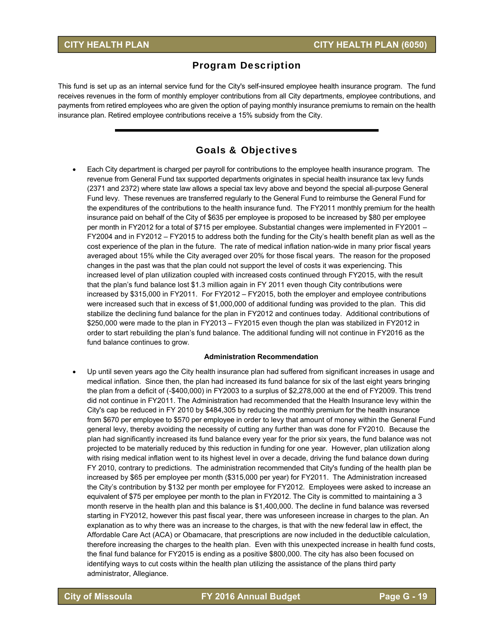#### Program Description

This fund is set up as an internal service fund for the City's self-insured employee health insurance program. The fund receives revenues in the form of monthly employer contributions from all City departments, employee contributions, and payments from retired employees who are given the option of paying monthly insurance premiums to remain on the health insurance plan. Retired employee contributions receive a 15% subsidy from the City.

#### Goals & Objectives

 Each City department is charged per payroll for contributions to the employee health insurance program. The revenue from General Fund tax supported departments originates in special health insurance tax levy funds (2371 and 2372) where state law allows a special tax levy above and beyond the special all-purpose General Fund levy. These revenues are transferred regularly to the General Fund to reimburse the General Fund for the expenditures of the contributions to the health insurance fund. The FY2011 monthly premium for the health insurance paid on behalf of the City of \$635 per employee is proposed to be increased by \$80 per employee per month in FY2012 for a total of \$715 per employee. Substantial changes were implemented in FY2001 – FY2004 and in FY2012 – FY2015 to address both the funding for the City's health benefit plan as well as the cost experience of the plan in the future. The rate of medical inflation nation-wide in many prior fiscal years averaged about 15% while the City averaged over 20% for those fiscal years. The reason for the proposed changes in the past was that the plan could not support the level of costs it was experiencing. This increased level of plan utilization coupled with increased costs continued through FY2015, with the result that the plan's fund balance lost \$1.3 million again in FY 2011 even though City contributions were increased by \$315,000 in FY2011. For FY2012 – FY2015, both the employer and employee contributions were increased such that in excess of \$1,000,000 of additional funding was provided to the plan. This did stabilize the declining fund balance for the plan in FY2012 and continues today. Additional contributions of \$250,000 were made to the plan in FY2013 – FY2015 even though the plan was stabilized in FY2012 in order to start rebuilding the plan's fund balance. The additional funding will not continue in FY2016 as the fund balance continues to grow.

#### **Administration Recommendation**

 Up until seven years ago the City health insurance plan had suffered from significant increases in usage and medical inflation. Since then, the plan had increased its fund balance for six of the last eight years bringing the plan from a deficit of (-\$400,000) in FY2003 to a surplus of \$2,278,000 at the end of FY2009. This trend did not continue in FY2011. The Administration had recommended that the Health Insurance levy within the City's cap be reduced in FY 2010 by \$484,305 by reducing the monthly premium for the health insurance from \$670 per employee to \$570 per employee in order to levy that amount of money within the General Fund general levy, thereby avoiding the necessity of cutting any further than was done for FY2010. Because the plan had significantly increased its fund balance every year for the prior six years, the fund balance was not projected to be materially reduced by this reduction in funding for one year. However, plan utilization along with rising medical inflation went to its highest level in over a decade, driving the fund balance down during FY 2010, contrary to predictions. The administration recommended that City's funding of the health plan be increased by \$65 per employee per month (\$315,000 per year) for FY2011. The Administration increased the City's contribution by \$132 per month per employee for FY2012. Employees were asked to increase an equivalent of \$75 per employee per month to the plan in FY2012. The City is committed to maintaining a 3 month reserve in the health plan and this balance is \$1,400,000. The decline in fund balance was reversed starting in FY2012, however this past fiscal year, there was unforeseen increase in charges to the plan. An explanation as to why there was an increase to the charges, is that with the new federal law in effect, the Affordable Care Act (ACA) or Obamacare, that prescriptions are now included in the deductible calculation, therefore increasing the charges to the health plan. Even with this unexpected increase in health fund costs, the final fund balance for FY2015 is ending as a positive \$800,000. The city has also been focused on identifying ways to cut costs within the health plan utilizing the assistance of the plans third party administrator, Allegiance.